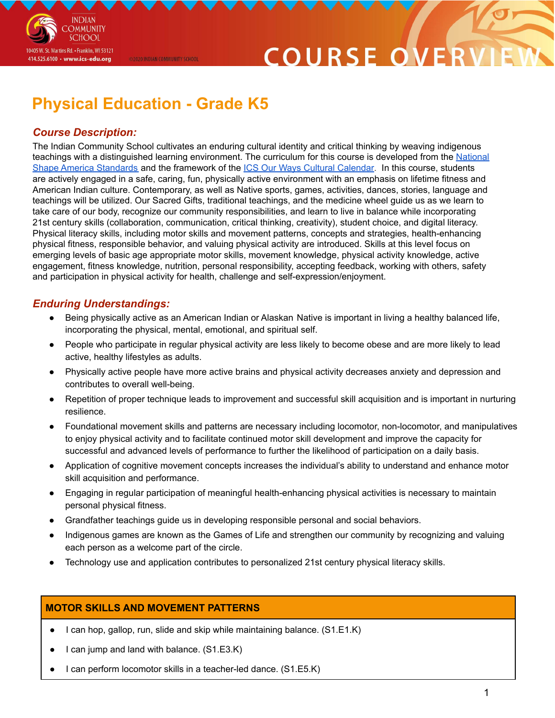# COURSE O

# **Physical Education - Grade K5**

@2020 INDIAN COMMUNITY SCHOOL

### *Course Description:*

**INDIAN OMMUNITY SCHOOL** 

10405 W. St. Martins Rd. • Franklin, WI 53121 414.525.6100 · www.ics-edu.org

The Indian Community School cultivates an enduring cultural identity and critical thinking by weaving indigenous teachings with a distinguished learning environment. The curriculum for this course is developed from the [National](https://www.shapeamerica.org/uploads/pdfs/2017/Grade-Level-Outcomes-for-K-12-Physical-Education.pdf) Shape America [Standards](https://www.shapeamerica.org/uploads/pdfs/2017/Grade-Level-Outcomes-for-K-12-Physical-Education.pdf) and the framework of the ICS Our Ways Cultural [Calendar.](https://drive.google.com/open?id=0B7pONXiRIufTT3VHOXBBeG9USHMzbDNIUi1nV0NTbURCMFRZ) In this course, students are actively engaged in a safe, caring, fun, physically active environment with an emphasis on lifetime fitness and American Indian culture. Contemporary, as well as Native sports, games, activities, dances, stories, language and teachings will be utilized. Our Sacred Gifts, traditional teachings, and the medicine wheel guide us as we learn to take care of our body, recognize our community responsibilities, and learn to live in balance while incorporating 21st century skills (collaboration, communication, critical thinking, creativity), student choice, and digital literacy. Physical literacy skills, including motor skills and movement patterns, concepts and strategies, health-enhancing physical fitness, responsible behavior, and valuing physical activity are introduced. Skills at this level focus on emerging levels of basic age appropriate motor skills, movement knowledge, physical activity knowledge, active engagement, fitness knowledge, nutrition, personal responsibility, accepting feedback, working with others, safety and participation in physical activity for health, challenge and self-expression/enjoyment.

### *Enduring Understandings:*

- Being physically active as an American Indian or Alaskan Native is important in living a healthy balanced life, incorporating the physical, mental, emotional, and spiritual self.
- People who participate in regular physical activity are less likely to become obese and are more likely to lead active, healthy lifestyles as adults.
- Physically active people have more active brains and physical activity decreases anxiety and depression and contributes to overall well-being.
- Repetition of proper technique leads to improvement and successful skill acquisition and is important in nurturing resilience.
- Foundational movement skills and patterns are necessary including locomotor, non-locomotor, and manipulatives to enjoy physical activity and to facilitate continued motor skill development and improve the capacity for successful and advanced levels of performance to further the likelihood of participation on a daily basis.
- Application of cognitive movement concepts increases the individual's ability to understand and enhance motor skill acquisition and performance.
- Engaging in regular participation of meaningful health-enhancing physical activities is necessary to maintain personal physical fitness.
- Grandfather teachings guide us in developing responsible personal and social behaviors.
- Indigenous games are known as the Games of Life and strengthen our community by recognizing and valuing each person as a welcome part of the circle.
- Technology use and application contributes to personalized 21st century physical literacy skills.

#### **MOTOR SKILLS AND MOVEMENT PATTERNS**

- I can hop, gallop, run, slide and skip while maintaining balance. (S1.E1.K)
- I can jump and land with balance. (S1.E3.K)
- I can perform locomotor skills in a teacher-led dance. (S1.E5.K)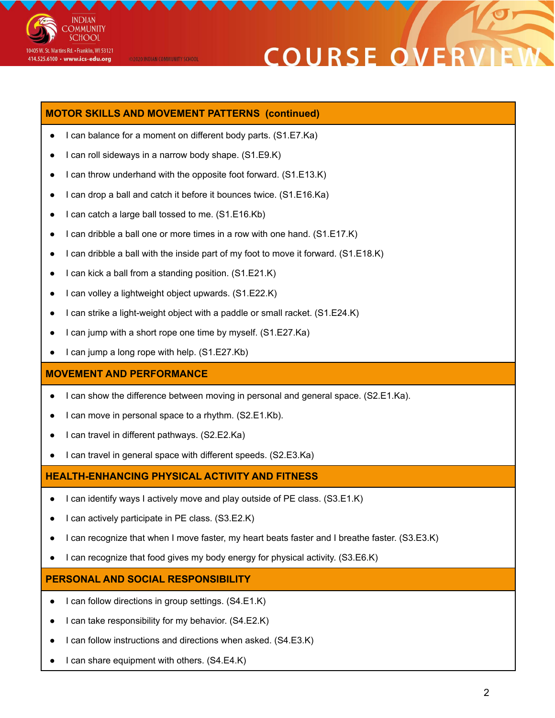

# **COURSE OVE**

#### **MOTOR SKILLS AND MOVEMENT PATTERNS (continued)**

- I can balance for a moment on different body parts. (S1.E7.Ka)
- I can roll sideways in a narrow body shape. (S1.E9.K)

@2020 INDIAN COMMUNITY SCHOOL

- I can throw underhand with the opposite foot forward. (S1.E13.K)
- I can drop a ball and catch it before it bounces twice. (S1.E16.Ka)
- I can catch a large ball tossed to me. (S1.E16.Kb)
- I can dribble a ball one or more times in a row with one hand.  $(S1.E17.K)$
- I can dribble a ball with the inside part of my foot to move it forward. (S1.E18.K)
- I can kick a ball from a standing position. (S1.E21.K)
- I can volley a lightweight object upwards. (S1.E22.K)
- I can strike a light-weight object with a paddle or small racket. (S1.E24.K)
- I can jump with a short rope one time by myself. (S1.E27.Ka)
- I can jump a long rope with help. (S1.E27.Kb)

#### **MOVEMENT AND PERFORMANCE**

- I can show the difference between moving in personal and general space. (S2.E1.Ka).
- I can move in personal space to a rhythm. (S2.E1.Kb).
- I can travel in different pathways. (S2.E2.Ka)
- I can travel in general space with different speeds. (S2.E3.Ka)

#### **HEALTH-ENHANCING PHYSICAL ACTIVITY AND FITNESS**

- I can identify ways I actively move and play outside of PE class. (S3.E1.K)
- I can actively participate in PE class. (S3.E2.K)
- I can recognize that when I move faster, my heart beats faster and I breathe faster. (S3.E3.K)
- I can recognize that food gives my body energy for physical activity. (S3.E6.K)

#### **PERSONAL AND SOCIAL RESPONSIBILITY**

- I can follow directions in group settings. (S4.E1.K)
- I can take responsibility for my behavior. (S4.E2.K)
- I can follow instructions and directions when asked. (S4.E3.K)
- I can share equipment with others.  $(S4.E4.K)$